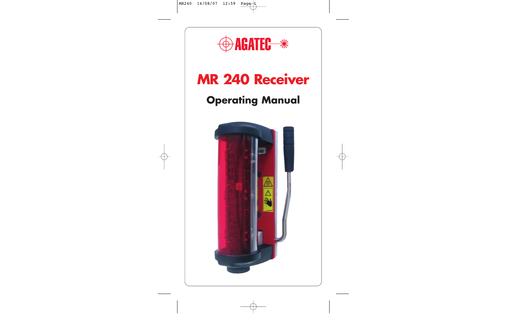

# **Operating Manual MR 240 Receiver**

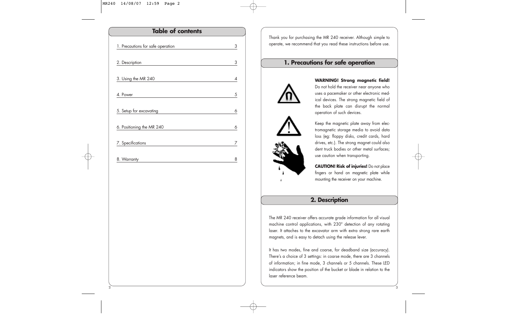# 1. Precautions for safe operation 3 2. Description 3 3. Using the MR 240 4 4. Power 5 5. Setup for excavating 6 6. Positioning the MR 240 6 7. Specifications 7 8. Warranty 8 **Table of contents**

Thank you for purchasing the MR 240 receiver. Although simple to operate, we recommend that you read these instructions before use.

### **1. Precautions for safe operation**







**WARNING! Strong magnetic field!** Do not hold the receiver near anyone who uses a pacemaker or other electronic medical devices. The strong magnetic field of the back plate can disrupt the normal operation of such devices.

Keep the magnetic plate away from electromagnetic storage media to avoid data loss (eg: floppy disks, credit cards, hard drives, etc.). The strong magnet could also dent truck bodies or other metal surfaces; use caution when transporting.

**CAUTION! Risk of injuries!** Do not place fingers or hand on magnetic plate while mounting the receiver on your machine.

### **2. Description**

The MR 240 receiver offers accurate grade information for all visual machine control applications, with 230° detection of any rotating laser. It attaches to the excavator arm with extra strong rare earth magnets, and is easy to detach using the release lever.

It has two modes, fine and coarse, for deadband size (accuracy). There's a choice of 3 settings: in coarse mode, there are 3 channels of information; in fine mode, 3 channels or 5 channels. These LED indicators show the position of the bucket or blade in relation to the laser reference beam.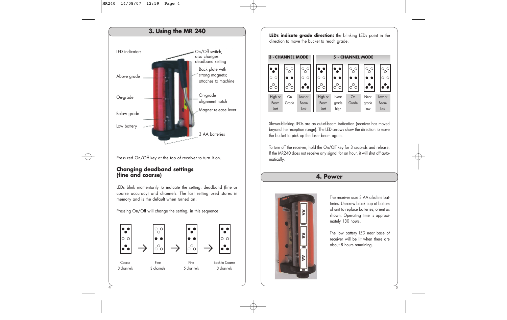

Press red On/Off key at the top of receiver to turn it on.

### **Changing deadband settings (fine and coarse)**

**4**

LEDs blink momentarily to indicate the setting: deadband (fine or coarse accuracy) and channels. The last setting used stores in memory and is the default when turned on.

Pressing On/Off will change the setting, in this sequence:



**LEDs indicate grade direction:** the blinking LEDs point in the direction to move the bucket to reach grade.



Slower-blinking LEDs are an out-of-beam indication (receiver has moved beyond the reception range). The LED arrows show the direction to move the bucket to pick up the laser beam again.

To turn off the receiver, hold the On/Off key for 3 seconds and release. If the MR240 does not receive any signal for an hour, it will shut off automatically.

### **4. Power**



The receiver uses 3 AA alkaline batteries. Unscrew black cap at bottom of unit to replace batteries; orient as shown. Operating time is approximately 130 hours.

The low battery LED near base of receiver will be lit when there are about 8 hours remaining.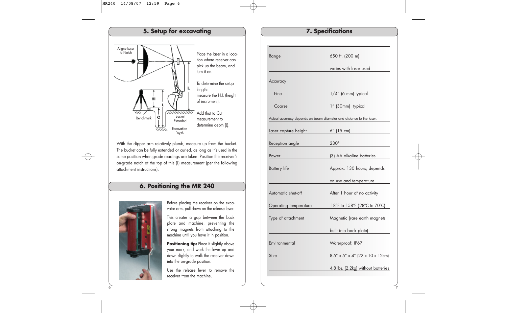

With the dipper arm relatively plumb, measure up from the bucket. The bucket can be fully extended or curled, as long as it's used in the same position when grade readings are taken. Position the receiver's on-grade notch at the top of this (L) measurement (per the following attachment instructions).

### **6. Positioning the MR 240**



Before placing the receiver on the excavator arm, pull down on the release lever.

This creates a gap between the back plate and machine, preventing the strong magnets from attaching to the machine until you have it in position.

**Positioning tip:** Place it slightly above your mark, and work the lever up and down slightly to walk the receiver down into the on-grade position.

Use the release lever to remove the receiver from the machine.

| Range                                                               | 650 ft. (200 m)                                |  |
|---------------------------------------------------------------------|------------------------------------------------|--|
|                                                                     | varies with laser used                         |  |
| Accuracy                                                            |                                                |  |
| Fine                                                                | $1/4''$ (6 mm) typical                         |  |
| Coarse                                                              | 1" (30mm) typical                              |  |
| Actual accuracy depends on beam diameter and distance to the laser. |                                                |  |
| Laser capture height                                                | 6" (15 cm)                                     |  |
| Reception angle                                                     | $230^\circ$                                    |  |
| Power                                                               | (3) AA alkaline batteries                      |  |
| <b>Battery</b> life                                                 | Approx. 130 hours; depends                     |  |
|                                                                     | on use and temperature                         |  |
| Automatic shut-off                                                  | After 1 hour of no activity                    |  |
| Operating temperature                                               | -18°F to 158°F (-28°C to 70°C)                 |  |
| Type of attachment                                                  | Magnetic (rare earth magnets                   |  |
|                                                                     | built into back plate)                         |  |
| Environmental                                                       | Waterproof; IP67                               |  |
| Size                                                                | $8.5'' \times 5'' \times 4''$ (22 x 10 x 12cm) |  |
|                                                                     | 4.8 lbs. (2.2kg) without batteries             |  |
|                                                                     |                                                |  |

**7. Specifications**

**7**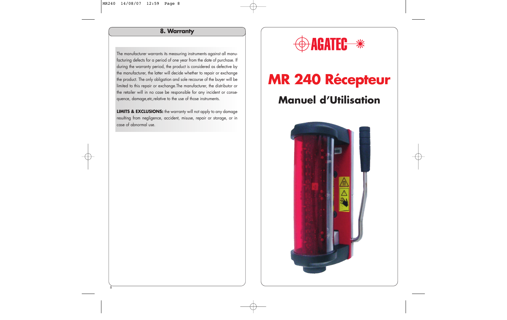### **8. Warranty**

The manufacturer warrants its measuring instruments against all manufacturing defects for a period of one year from the date of purchase. If during the warranty period, the product is considered as defective by the manufacturer, the latter will decide whether to repair or exchange the product. The only obligation and sole recourse of the buyer will be limited to this repair or exchange.The manufacturer, the distributor or the retailer will in no case be responsible for any incident or consequence, damage,etc,relative to the use of those instruments.

**LIMITS & EXCLUSIONS:** the warranty will not apply to any damage resulting from negligence, accident, misuse, repair or storage, or in case of abnormal use.



# **Manuel d'Utilisation MR 240 Récepteur**

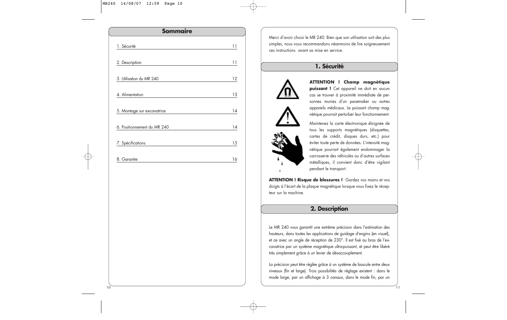| <b>Sommaire</b>             |    |
|-----------------------------|----|
| 1. Sécurité                 | 11 |
| 2. Description              | 11 |
| 3. Utilisation du MR 240    | 12 |
| 4. Alimentation             | 13 |
| 5. Montage sur excavatrice  | 14 |
| 6. Positionnement du MR 240 | 14 |
| 7. Spécifications           | 15 |
| 8. Garantie                 | 16 |

Merci d'avoir choisi le MR 240. Bien que son utilisation soit des plus simples, nous vous recommandons néanmoins de lire soigneusement ces instructions avant sa mise en service.

### **1. Sécurité**





**ATTENTION ! Champ magnétique puissant !** Cet appareil ne doit en aucun cas se trouver à proximité immédiate de personnes munies d'un pacemaker ou autres appareils médicaux. Le puissant champ magnétique pourrait perturber leur fonctionnement.

Maintenez la carte électronique éloignée de tous les supports magnétiques (disquettes, cartes de crédit, disques durs, etc.) pour éviter toute perte de données. L'intensité magnétique pourrait également endommager la carrosserie des véhicules ou d'autres surfaces métalliques, il convient donc d'être vigilant pendant le transport.

ATTENTION ! Risque de blessures ! Gardez vos mains et vos doigts à l'écart de la plaque magnétique lorsque vous fixez le récepteur sur la machine.

### **2. Description**

Le MR 240 vous garantit une extrême précision dans l'estimation des hauteurs, dans toutes les applications de guidage d'engins (en visuel), et ce avec un angle de réception de 230°. Il est fixé au bras de l'excavatrice par un système magnétique ultra-puissant, et peut être libéré très simplement grâce à un levier de désaccouplement.

La précision peut être réglée grâce à un système de bascule entre deux niveaux (fin et large). Trois possibilités de réglage existent : dans le mode large, par un affichage à 3 canaux, dans le mode fin, par un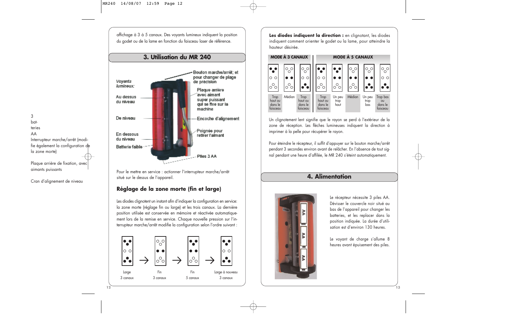affichage à 3 à 5 canaux. Des voyants lumineux indiquent la position du godet ou de la lame en fonction du faisceau laser de référence.



Pour le mettre en service : actionner l'interrupteur marche/arrêt situé sur le dessus de l'appareil.

### **Réglage de la zone morte (fin et large)**

Les diodes clignotent un instant afin d'indiquer la configuration en service: la zone morte (réglage fin ou large) et les trois canaux. La dernière position utilisée est conservée en mémoire et réactivée automatiquement lors de la remise en service. Chaque nouvelle pression sur l'interrupteur marche/arrêt modifie la configuration selon l'ordre suivant :



Les diodes indiquent la direction : en clignotant, les diodes indiquent comment orienter le godet ou la lame, pour atteindre la hauteur désirée.



Un clignotement lent signifie que le rayon se perd à l'extérieur de la zone de réception. Les flèches lumineuses indiquent la direction à imprimer à la pelle pour récupérer le rayon.

Pour éteindre le récepteur, il suffit d'appuyer sur le bouton marche/arrêt pendant 3 secondes environ avant de relâcher. En l'absence de tout signal pendant une heure d'affilée, le MR 240 s'éteint automatiquement.

### **4. Alimentation**



Le récepteur nécessite 3 piles AA. Dévisser le couvercle noir situé au bas de l'appareil pour changer les batteries, et les replacer dans la position indiquée. La durée d'utilisation est d'environ 130 heures.

Le voyant de charge s'allume 8 heures avant épuisement des piles.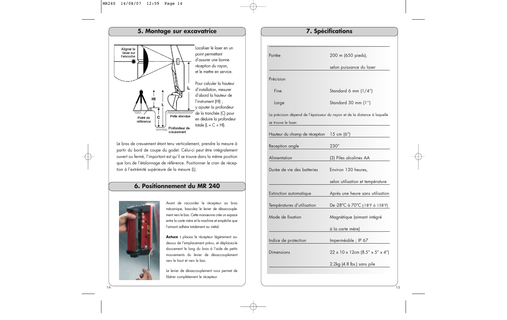#### **5. Montage sur excavatrice** Localiser le laser en un Aligner le laser sur point permettant Fencoche d'assurer une bonne réception du rayon, et le mettre en service. Pour calculer la hauteur d'installation, mesurer d'abord la hauteur de l'instrument (HI) ; y ajouter la profondeur ummumi de la tranchée (C) pour Pelle étendue Point de C en déduire la profondeur référence totale  $(L = C + HI)$ . Profondeur de  $1111111$ creusement

Le bras de creusement étant tenu verticalement, prendre la mesure à partir du bord de coupe du godet. Celui-ci peut être intégralement ouvert ou fermé, l'important est qu'il se trouve dans la même position que lors de l'étalonnage de référence. Positionner le cran de réception à l'extrémité supérieure de la mesure (L).

### **6. Positionnement du MR 240**



Avant de raccorder le récepteur au bras mécanique, basculez le levier de désaccouplement vers le bas. Cette manœuvre crée un espace entre la carte mère et la machine et empêche que l'aimant adhère totalement au métal.

**Astuce :** placez le récepteur légèrement audessus de l'emplacement prévu, et déplacez-le doucement le long du bras à l'aide de petits mouvements du levier de désaccouplement vers le haut et vers le bas.

Le levier de désaccouplement vous permet de libérer complètement le récepteur.

| Portée                        | 200 m (650 pieds),                                                       |
|-------------------------------|--------------------------------------------------------------------------|
|                               | selon puissance du laser                                                 |
| Précision                     |                                                                          |
| Fine                          | Standard 6 mm (1/4")                                                     |
| Large                         | Standard 30 mm (1")                                                      |
| se trouve le laser.           | La précision dépend de l'épaisseur du rayon et de la distance à laquelle |
| Hauteur du champ de réception | 15 cm $(6")$                                                             |
| Reception angle               | $230^\circ$                                                              |
| Alimentation                  | (3) Piles alcalines AA                                                   |
| Durée de vie des batteries    | Environ 130 heures,                                                      |
|                               | selon utilisation et température                                         |
| Extinction automatique        | Après une heure sans utilisation                                         |
| Températures d'utilisation    | De -28°C à 70°C (-18°F à 158°F)                                          |
| Mode de fixation              | Magnétique (aimant intégré                                               |
|                               | à la carte mère)                                                         |
| Indice de protection          | Imperméable ; IP 67                                                      |
| Dimensions                    | $22 \times 10 \times 12$ cm $(8.5'' \times 5'' \times 4'')$              |
|                               | 2.2kg (4.8 lbs.) sans pile                                               |
|                               |                                                                          |

**7. Spécifications**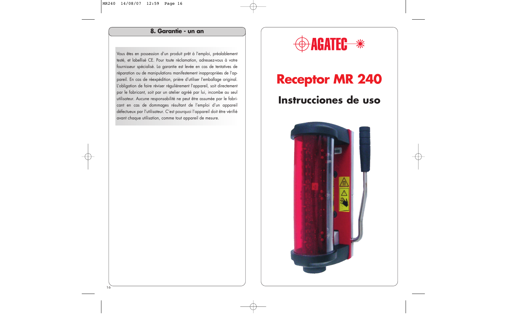### **8. Garantie - un an**

Vous êtes en possession d'un produit prêt à l'emploi, préalablement testé, et labellisé CE. Pour toute réclamation, adressez-vous à votre fournisseur spécialisé. La garantie est levée en cas de tentatives de réparation ou de manipulations manifestement inappropriées de l'appareil. En cas de réexpédition, prière d'utiliser l'emballage original. L'obligation de faire réviser régulièrement l'appareil, soit directement par le fabricant, soit par un atelier agréé par lui, incombe au seul utilisateur. Aucune responsabilité ne peut être assumée par le fabricant en cas de dommages résultant de l'emploi d'un appareil défectueux par l'utilisateur. C'est pourquoi l'appareil doit être vérifié avant chaque utilisation, comme tout appareil de mesure.

# **DAGATEC \*\***

# **Instrucciones de uso Receptor MR 240**

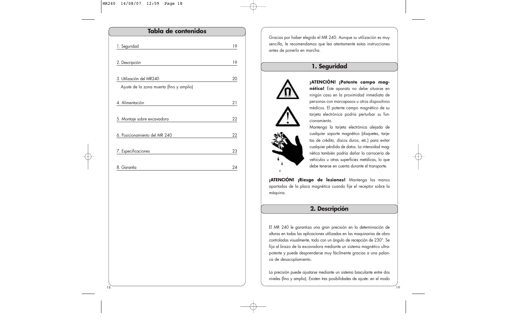| Tabla de contenidos                      |    |  |
|------------------------------------------|----|--|
| 1. Seguridad                             | 19 |  |
| 2. Descripción                           | 19 |  |
| 3. Utilización del MR240                 | 20 |  |
| Ajuste de la zona muerta (fino y amplio) |    |  |
| 4. Alimentación                          | 21 |  |
| 5. Montaje sobre excavadora              | 22 |  |
| 6. Posicionamiento del MR 240            | 22 |  |
| 7. Especificaciones                      | 23 |  |
| 8. Garantía                              | 24 |  |

Gracias por haber elegido el MR 240. Aunque su utilización es muy sencilla, le recomendamos que lea atentamente estas instrucciones antes de ponerlo en marcha.

### **1. Seguridad**







**¡ATENCIÓN! ¡Potente campo magnético!** Este aparato no debe situarse en ningún caso en la proximidad inmediata de personas con marcapasos u otros dispositivos médicos. El potente campo magnético de su tarjeta electrónica podría perturbar su funcionamiento.

Mantenga la tarjeta electrónica alejada de cualquier soporte magnético (disquetes, tarjetas de crédito, discos duros, etc.) para evitar cualquier pérdida de datos. La intensidad magnética también podría dañar la carrocería de vehículos u otras superficies metálicas, lo que debe tenerse en cuenta durante el transporte.

**¡ATENCIÓN! ¡Riesgo de lesiones!** Mantenga las manos apartadas de la placa magnética cuando fije el receptor sobre la máquina.

### **2. Descripción**

El MR 240 le garantiza una gran precisión en la determinación de alturas en todas las aplicaciones utilizadas en las maquinarias de obra controladas visualmente, todo con un ángulo de recepción de 230°. Se fija al brazo de la excavadora mediante un sistema magnético ultrapotente y puede desprenderse muy fácilmente gracias a una palanca de desacoplamiento.

La precisión puede ajustarse mediante un sistema basculante entre dos niveles (fino y amplio). Existen tres posibilidades de ajuste: en el modo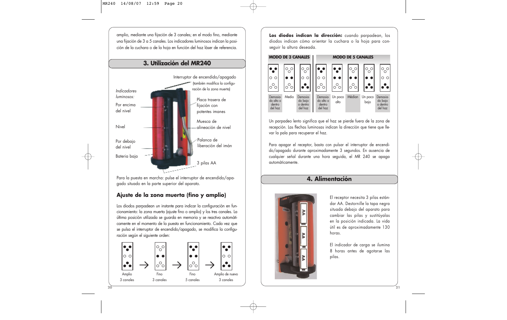amplio, mediante una fijación de 3 canales; en el modo fino, mediante una fijación de 3 a 5 canales. Los indicadores luminosos indican la posición de la cuchara o de la hoja en función del haz láser de referencia.

### **3. Utilización del MR240**



Para la puesta en marcha: pulse el interruptor de encendido/apagado situado en la parte superior del aparato.

### **Ajuste de la zona muerta (fino y amplio)**

Los diodos parpadean un instante para indicar la configuración en funcionamiento: la zona muerta (ajuste fino o amplio) y los tres canales. La última posición utilizada se guarda en memoria y se reactiva automáticamente en el momento de la puesta en funcionamiento. Cada vez que se pulsa el interruptor de encendido/apagado, se modifica la configuración según el siguiente orden:



**Los diodos indican la dirección:** cuando parpadean, los diodos indican cómo orientar la cuchara o la hoja para conseguir la altura deseada.



Un parpadeo lento significa que el haz se pierde fuera de la zona de recepción. Las flechas luminosas indican la dirección que tiene que llevar la pala para recuperar el haz.

Para apagar el receptor, basta con pulsar el interruptor de encendido/apagado durante aproximadamente 3 segundos. En ausencia de cualquier señal durante una hora seguida, el MR 240 se apaga automáticamente.

### **4. Alimentación**



El receptor necesita 3 pilas estándar AA. Destornille la tapa negra situada debajo del aparato para cambiar las pilas y sustitúyalas en la posición indicada. La vida útil es de aproximadamente 130 horas.

El indicador de carga se ilumina 8 horas antes de agotarse las pilas.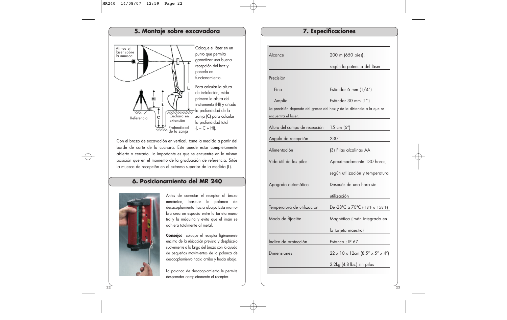#### **5. Montaje sobre excavadora** Coloque el láser en un Alinee el láser sobre punto que permita la muesca garantizar una buena recepción del haz y ponerlo en funcionamiento. Para calcular la altura de instalación, mida primero la altura del instrumento (HI) y añada la profundidad de la <u>ummumn</u> Cuchara en zanja (C) para calcular Referencia C extensión la profundidad total  $(L = C + HI).$ Profundidad de la zanja

Con el brazo de excavación en vertical, tome la medida a partir del borde de corte de la cuchara. Este puede estar completamente abierto o cerrado. Lo importante es que se encuentre en la misma posición que en el momento de la graduación de referencia. Sitúe la muesca de recepción en el extremo superior de la medida (L).

### **6. Posicionamiento del MR 240**



Antes de conectar el receptor al brazo mecánico, bascule la palanca de desacoplamiento hacia abajo. Esta maniobra crea un espacio entre la tarjeta maestra y la máquina y evita que el imán se adhiera totalmente al metal.

**Consejo:** coloque el receptor ligéramente encima de la ubicación prevista y desplácelo suavemente a lo largo del brazo con la ayuda de pequeños movimientos de la palanca de desacoplamiento hacia arriba y hacia abajo.

La palanca de desacoplamiento le permite desprender completamente el receptor.

## Alcance 200 m (650 pies), según la potencia del láser Precisión Fino Estándar 6 mm (1/4") Amplio Estándar 30 mm (1'') La precisión depende del grosor del haz y de la distancia a la que se encuentra el láser. Altura del campo de recepción 15 cm (6") Angulo de recepción 230° Alimentación (3) Pilas alcalinas AA Vida útil de las pilas **Aproximadamente 130 horas**, según utilización y temperatura Apagado automático Después de una hora sin utilización Temperatura de utilización De -28°C a 70°C (-18°F a 158°F) Modo de fijación Magnética (imán integrado en la tarjeta maestra) Índice de protección Estanco ; IP 67 Dimensiones 22 x 10 x 12cm (8.5" x 5" x 4") 2.2kg (4.8 lbs.) sin pilas

**7. Especificaciones**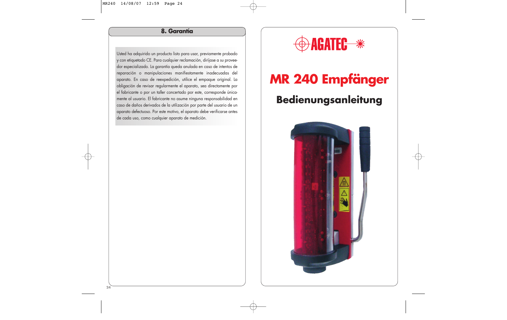### **8. Garantía**

Usted ha adquirido un producto listo para usar, previamente probado y con etiquetado CE. Para cualquier reclamación, diríjase a su proveedor especializado. La garantía queda anulada en caso de intentos de reparación o manipulaciones manifiestamente inadecuadas del aparato. En caso de reexpedición, utilice el empaque original. La obligación de revisar regularmente el aparato, sea directamente por el fabricante o por un taller concertado por este, corresponde únicamente al usuario. El fabricante no asume ninguna responsabilidad en caso de daños derivados de la utilización por parte del usuario de un aparato defectuoso. Por este motivo, el aparato debe verificarse antes de cada uso, como cualquier aparato de medición.